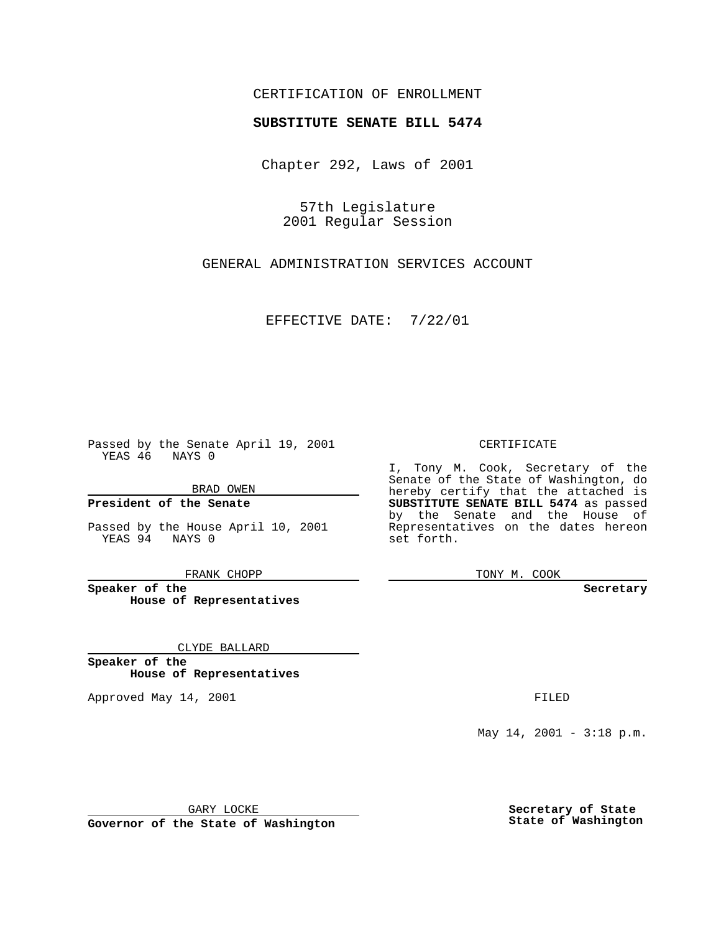### CERTIFICATION OF ENROLLMENT

# **SUBSTITUTE SENATE BILL 5474**

Chapter 292, Laws of 2001

57th Legislature 2001 Regular Session

GENERAL ADMINISTRATION SERVICES ACCOUNT

EFFECTIVE DATE: 7/22/01

Passed by the Senate April 19, 2001 YEAS 46 NAYS 0

BRAD OWEN

**President of the Senate**

Passed by the House April 10, 2001 YEAS 94 NAYS 0

FRANK CHOPP

**Speaker of the House of Representatives**

CLYDE BALLARD

**Speaker of the House of Representatives**

Approved May 14, 2001 **FILED** 

#### CERTIFICATE

I, Tony M. Cook, Secretary of the Senate of the State of Washington, do hereby certify that the attached is **SUBSTITUTE SENATE BILL 5474** as passed by the Senate and the House of Representatives on the dates hereon set forth.

TONY M. COOK

**Secretary**

May  $14$ ,  $2001 - 3:18$  p.m.

GARY LOCKE

**Governor of the State of Washington**

**Secretary of State State of Washington**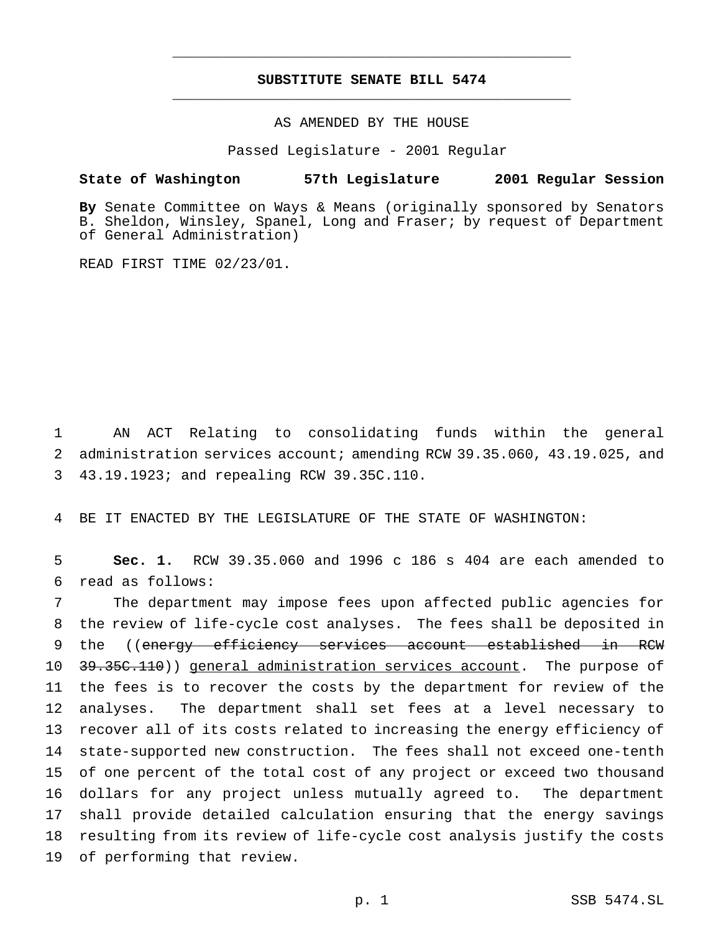## **SUBSTITUTE SENATE BILL 5474** \_\_\_\_\_\_\_\_\_\_\_\_\_\_\_\_\_\_\_\_\_\_\_\_\_\_\_\_\_\_\_\_\_\_\_\_\_\_\_\_\_\_\_\_\_\_\_

\_\_\_\_\_\_\_\_\_\_\_\_\_\_\_\_\_\_\_\_\_\_\_\_\_\_\_\_\_\_\_\_\_\_\_\_\_\_\_\_\_\_\_\_\_\_\_

### AS AMENDED BY THE HOUSE

Passed Legislature - 2001 Regular

#### **State of Washington 57th Legislature 2001 Regular Session**

**By** Senate Committee on Ways & Means (originally sponsored by Senators B. Sheldon, Winsley, Spanel, Long and Fraser; by request of Department of General Administration)

READ FIRST TIME 02/23/01.

1 AN ACT Relating to consolidating funds within the general 2 administration services account; amending RCW 39.35.060, 43.19.025, and 3 43.19.1923; and repealing RCW 39.35C.110.

4 BE IT ENACTED BY THE LEGISLATURE OF THE STATE OF WASHINGTON:

5 **Sec. 1.** RCW 39.35.060 and 1996 c 186 s 404 are each amended to 6 read as follows:

 The department may impose fees upon affected public agencies for the review of life-cycle cost analyses. The fees shall be deposited in 9 the ((energy efficiency services account established in RCW 10 <del>39.35C.110</del>)) general administration services account. The purpose of the fees is to recover the costs by the department for review of the analyses. The department shall set fees at a level necessary to recover all of its costs related to increasing the energy efficiency of state-supported new construction. The fees shall not exceed one-tenth of one percent of the total cost of any project or exceed two thousand dollars for any project unless mutually agreed to. The department shall provide detailed calculation ensuring that the energy savings resulting from its review of life-cycle cost analysis justify the costs of performing that review.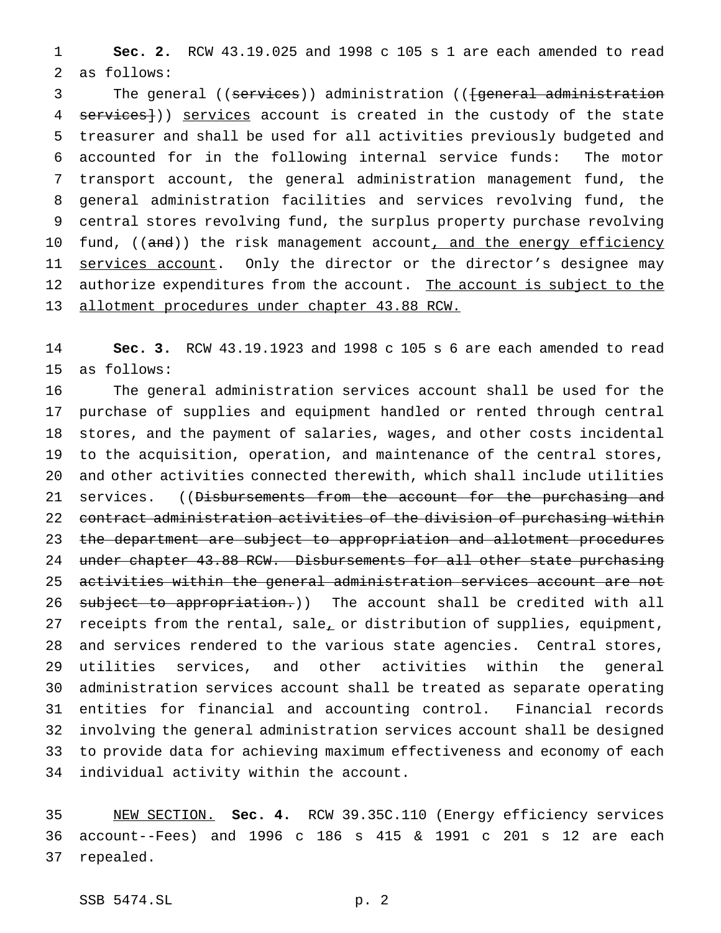**Sec. 2.** RCW 43.19.025 and 1998 c 105 s 1 are each amended to read as follows:

3 The general ((services)) administration ((fgeneral administration 4 services})) services account is created in the custody of the state treasurer and shall be used for all activities previously budgeted and accounted for in the following internal service funds: The motor transport account, the general administration management fund, the general administration facilities and services revolving fund, the central stores revolving fund, the surplus property purchase revolving 10 fund, ((and)) the risk management account<u>, and the energy efficiency</u> 11 services account. Only the director or the director's designee may 12 authorize expenditures from the account. The account is subject to the allotment procedures under chapter 43.88 RCW.

 **Sec. 3.** RCW 43.19.1923 and 1998 c 105 s 6 are each amended to read as follows:

 The general administration services account shall be used for the purchase of supplies and equipment handled or rented through central stores, and the payment of salaries, wages, and other costs incidental to the acquisition, operation, and maintenance of the central stores, and other activities connected therewith, which shall include utilities 21 services. ((Disbursements from the account for the purchasing and contract administration activities of the division of purchasing within the department are subject to appropriation and allotment procedures 24 under chapter 43.88 RCW. Disbursements for all other state purchasing activities within the general administration services account are not 26 subject to appropriation.)) The account shall be credited with all 27 receipts from the rental, sale<sub> $L$ </sub> or distribution of supplies, equipment, and services rendered to the various state agencies. Central stores, utilities services, and other activities within the general administration services account shall be treated as separate operating entities for financial and accounting control. Financial records involving the general administration services account shall be designed to provide data for achieving maximum effectiveness and economy of each individual activity within the account.

 NEW SECTION. **Sec. 4.** RCW 39.35C.110 (Energy efficiency services account--Fees) and 1996 c 186 s 415 & 1991 c 201 s 12 are each repealed.